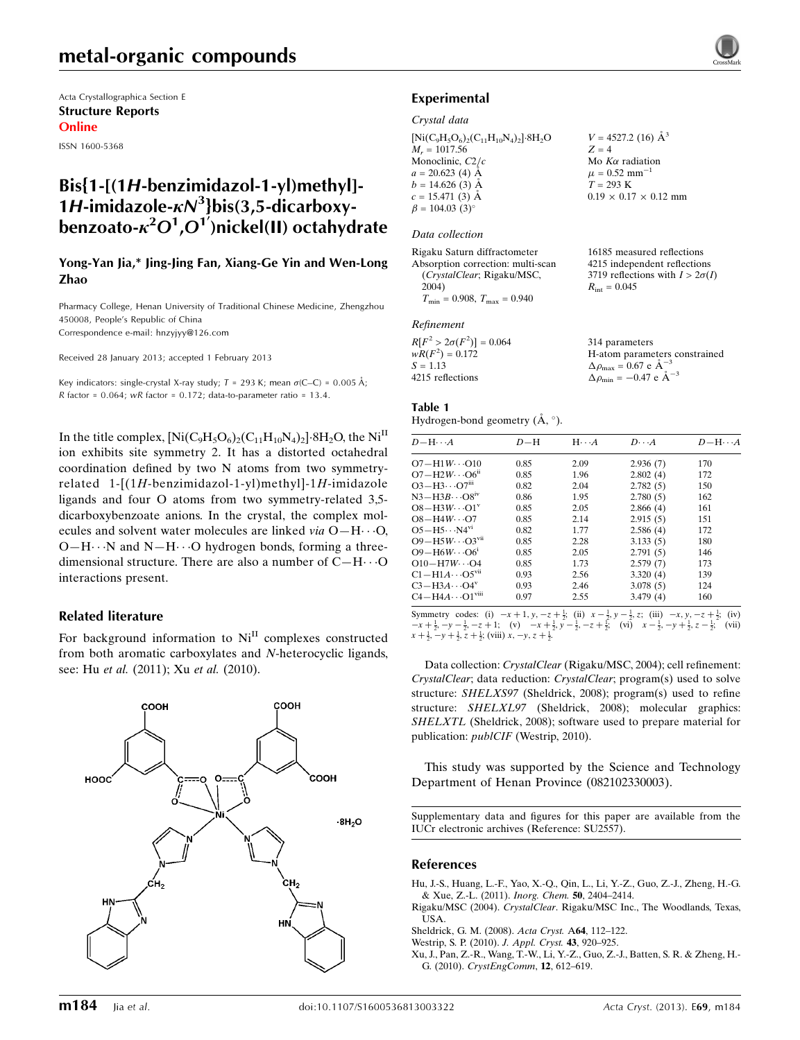# metal-organic compounds

Acta Crystallographica Section E Structure Reports Online

ISSN 1600-5368

## Bis{1-[(1H-benzimidazol-1-yl)methyl]- 1H-imidazole- $\kappa N^3$ }bis(3,5-dicarboxybenzoato- $\kappa^2 O^1$ , $O^{17}$ )nickel(II) octahydrate

### Yong-Yan Jia,\* Jing-Jing Fan, Xiang-Ge Yin and Wen-Long Zhao

Pharmacy College, Henan University of Traditional Chinese Medicine, Zhengzhou 450008, People's Republic of China Correspondence e-mail: [hnzyjyy@126.com](https://scripts.iucr.org/cgi-bin/cr.cgi?rm=pdfbb&cnor=su2557&bbid=BB5)

Received 28 January 2013; accepted 1 February 2013

Key indicators: single-crystal X-ray study;  $T = 293$  K; mean  $\sigma$ (C–C) = 0.005 Å; R factor =  $0.064$ ; wR factor =  $0.172$ ; data-to-parameter ratio = 13.4.

In the title complex,  $\rm [Ni(C_9H_5O_6)_2(C_{11}H_{10}N_4)_2]\cdot 8H_2O$ , the  $\rm Ni^{II}$ ion exhibits site symmetry 2. It has a distorted octahedral coordination defined by two N atoms from two symmetryrelated 1-[(1H-benzimidazol-1-yl)methyl]-1H-imidazole ligands and four O atoms from two symmetry-related 3,5 dicarboxybenzoate anions. In the crystal, the complex molecules and solvent water molecules are linked via  $O-H \cdot \cdot \cdot O$ ,  $O-H\cdots N$  and  $N-H\cdots O$  hydrogen bonds, forming a threedimensional structure. There are also a number of  $C-H\cdots O$ interactions present.

### Related literature

For background information to  $Ni<sup>II</sup>$  complexes constructed from both aromatic carboxylates and N-heterocyclic ligands, see: Hu et al. (2011); Xu et al. (2010).





### Crystal data

 $[Ni(C_9H_5O_6)_2(C_{11}H_{10}N_4)_2]\cdot 8H_2O$  $M_r = 1017.56$ Monoclinic,  $C2/c$  $a = 20.623$  (4) Å  $b = 14.626(3)$  Å  $c = 15.471(3)$  Å  $\beta = 104.03$  (3)<sup>o</sup>

### Data collection

Rigaku Saturn diffractometer Absorption correction: multi-scan (CrystalClear; Rigaku/MSC, 2004)  $T_{\text{min}} = 0.908, T_{\text{max}} = 0.940$ 

#### Refinement

| $R[F^2 > 2\sigma(F^2)] = 0.064$ | 314 parameters                                       |
|---------------------------------|------------------------------------------------------|
| $wR(F^2) = 0.172$               | H-atom parameters constrained                        |
| $S = 1.13$                      | $\Delta \rho_{\text{max}} = 0.67 \text{ e A}^{-3}$   |
| 4215 reflections                | $\Delta \rho_{\text{min}} = -0.47$ e $\rm{\AA}^{-3}$ |

 $V = 4527.2$  (16)  $\AA^3$ 

 $0.19 \times 0.17 \times 0.12$  mm

16185 measured reflections 4215 independent reflections 3719 reflections with  $I > 2\sigma(I)$ 

 $Z = 4$ Mo  $K\alpha$  radiation  $\mu = 0.52$  mm<sup>-1</sup>  $T = 293 \text{ K}$ 

 $R_{\text{int}} = 0.045$ 

### Table 1

Hydrogen-bond geometry  $(A, \circ)$ .

| $D - H \cdots A$                     | $D-H$ | $H \cdot \cdot \cdot A$ | $D\cdots A$ | $D - H \cdots A$ |
|--------------------------------------|-------|-------------------------|-------------|------------------|
| $O7 - H1W \cdots O10$                | 0.85  | 2.09                    | 2.936(7)    | 170              |
| $O7 - H2W \cdots O6^n$               | 0.85  | 1.96                    | 2.802(4)    | 172              |
| $O3 - H3 \cdots O7$ <sup>iii</sup>   | 0.82  | 2.04                    | 2.782(5)    | 150              |
| $N3-H3B\cdots O8$ <sup>iv</sup>      | 0.86  | 1.95                    | 2.780(5)    | 162              |
| $O8 - H3W \cdots O1^v$               | 0.85  | 2.05                    | 2.866(4)    | 161              |
| $OS-H4W\cdots O7$                    | 0.85  | 2.14                    | 2.915(5)    | 151              |
| $O5 - H5 \cdots N4^{vi}$             | 0.82  | 1.77                    | 2.586(4)    | 172              |
| $O9 - H5W \cdots O3$ <sup>vii</sup>  | 0.85  | 2.28                    | 3.133(5)    | 180              |
| $O9 - H6W \cdots O6^1$               | 0.85  | 2.05                    | 2.791(5)    | 146              |
| $O10-H7W\cdots O4$                   | 0.85  | 1.73                    | 2.579(7)    | 173              |
| $C1 - H1A \cdots O5^{vu}$            | 0.93  | 2.56                    | 3.320(4)    | 139              |
| $C3 - H3A \cdots O4^v$               | 0.93  | 2.46                    | 3.078(5)    | 124              |
| $C4 - H4A \cdots O1$ <sup>viii</sup> | 0.97  | 2.55                    | 3.479(4)    | 160              |

Symmetry codes: (i)  $-x+1$ ,  $y, -z+\frac{1}{2}$ ; (ii)  $x-\frac{1}{2}$ ,  $y-\frac{1}{2}$ , z; (iii)  $-x$ ,  $y, -z+\frac{1}{2}$ ; (iv)  $-x+\frac{1}{2}$ ,  $-y-\frac{1}{2}$ ,  $-z+1$ ; (vi)  $-x+\frac{1}{2}$ ,  $y-\frac{1}{2}$ ,  $-z+\frac{1}{2}$ ; (vii)  $x-\frac{1}{2}$ ,  $-y+\frac{1}{2}$ ,  $z-\frac{1}{2}$ ; (v  $x + \frac{1}{2}, -y + \frac{1}{2}, \overline{z} + \frac{1}{2}$ ; (viii)  $x, -y, z + \frac{1}{2}$ .

Data collection: CrystalClear (Rigaku/MSC, 2004); cell refinement: CrystalClear; data reduction: CrystalClear; program(s) used to solve structure: SHELXS97 (Sheldrick, 2008); program(s) used to refine structure: SHELXL97 (Sheldrick, 2008); molecular graphics: SHELXTL (Sheldrick, 2008); software used to prepare material for publication: publCIF (Westrip, 2010).

This study was supported by the Science and Technology Department of Henan Province (082102330003).

Supplementary data and figures for this paper are available from the IUCr electronic archives (Reference: SU2557).

#### References

[Hu, J.-S., Huang, L.-F., Yao, X.-Q., Qin, L., Li, Y.-Z., Guo, Z.-J., Zheng, H.-G.](https://scripts.iucr.org/cgi-bin/cr.cgi?rm=pdfbb&cnor=su2557&bbid=BB1) [& Xue, Z.-L. \(2011\).](https://scripts.iucr.org/cgi-bin/cr.cgi?rm=pdfbb&cnor=su2557&bbid=BB1) Inorg. Chem. 50, 2404–2414.

- Rigaku/MSC (2004). CrystalClear[. Rigaku/MSC Inc., The Woodlands, Texas,](https://scripts.iucr.org/cgi-bin/cr.cgi?rm=pdfbb&cnor=su2557&bbid=BB2) [USA.](https://scripts.iucr.org/cgi-bin/cr.cgi?rm=pdfbb&cnor=su2557&bbid=BB2)
- [Sheldrick, G. M. \(2008\).](https://scripts.iucr.org/cgi-bin/cr.cgi?rm=pdfbb&cnor=su2557&bbid=BB3) Acta Cryst. A64, 112–122.
- [Westrip, S. P. \(2010\).](https://scripts.iucr.org/cgi-bin/cr.cgi?rm=pdfbb&cnor=su2557&bbid=BB4) J. Appl. Cryst. 43, 920–925.

[Xu, J., Pan, Z.-R., Wang, T.-W., Li, Y.-Z., Guo, Z.-J., Batten, S. R. & Zheng, H.-](https://scripts.iucr.org/cgi-bin/cr.cgi?rm=pdfbb&cnor=su2557&bbid=BB5) G. (2010). [CrystEngComm](https://scripts.iucr.org/cgi-bin/cr.cgi?rm=pdfbb&cnor=su2557&bbid=BB5), 12, 612–619.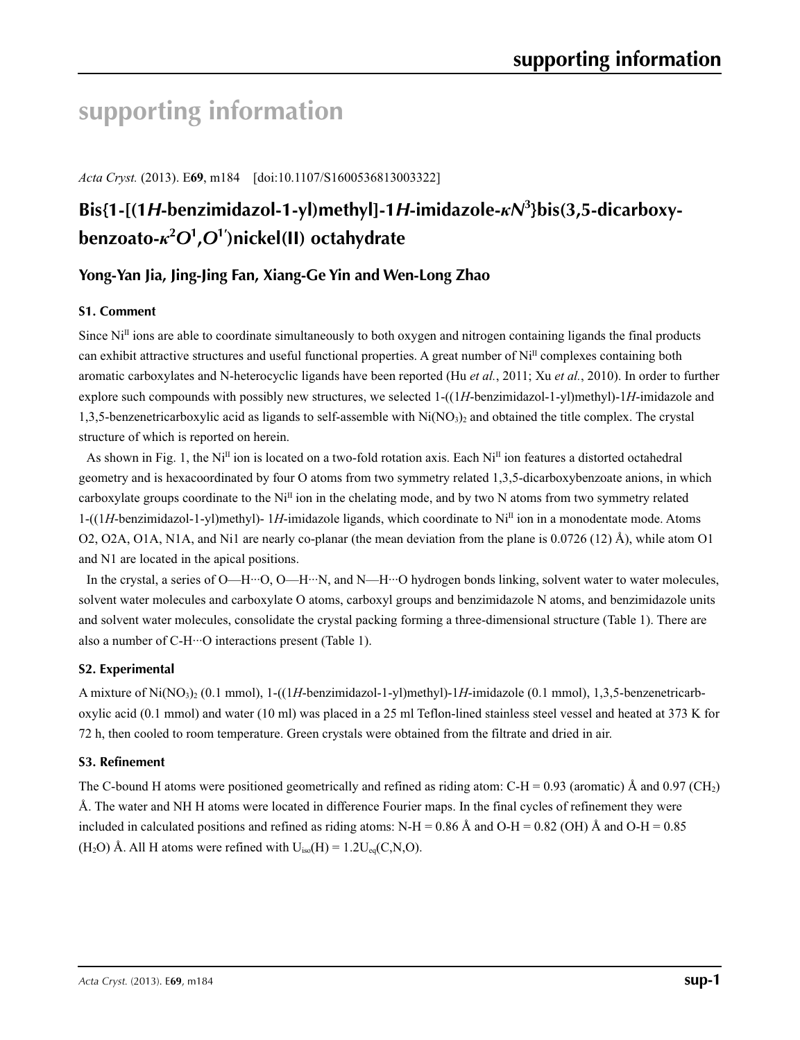# **supporting information**

*Acta Cryst.* (2013). E**69**, m184 [doi:10.1107/S1600536813003322]

# **Bis{1-[(1***H***-benzimidazol-1-yl)methyl]-1***H***-imidazole-***κN***<sup>3</sup> }bis(3,5-dicarboxybenzoato-***κ***<sup>2</sup>** *O***<sup>1</sup> ,***O***<sup>1</sup>′ )nickel(II) octahydrate**

## **Yong-Yan Jia, Jing-Jing Fan, Xiang-Ge Yin and Wen-Long Zhao**

### **S1. Comment**

Since  $Ni<sup>II</sup>$  ions are able to coordinate simultaneously to both oxygen and nitrogen containing ligands the final products can exhibit attractive structures and useful functional properties. A great number of  $Ni<sup>H</sup>$  complexes containing both aromatic carboxylates and N-heterocyclic ligands have been reported (Hu *et al.*, 2011; Xu *et al.*, 2010). In order to further explore such compounds with possibly new structures, we selected 1-((1*H*-benzimidazol-1-yl)methyl)-1*H*-imidazole and 1,3,5-benzenetricarboxylic acid as ligands to self-assemble with  $Ni(NO<sub>3</sub>)<sub>2</sub>$  and obtained the title complex. The crystal structure of which is reported on herein.

As shown in Fig. 1, the Ni<sup>II</sup> ion is located on a two-fold rotation axis. Each Ni<sup>II</sup> ion features a distorted octahedral geometry and is hexacoordinated by four O atoms from two symmetry related 1,3,5-dicarboxybenzoate anions, in which carboxylate groups coordinate to the Ni<sup>II</sup> ion in the chelating mode, and by two N atoms from two symmetry related 1-((1*H*-benzimidazol-1-yl)methyl)- 1*H*-imidazole ligands, which coordinate to NiII ion in a monodentate mode. Atoms O2, O2A, O1A, N1A, and Ni1 are nearly co-planar (the mean deviation from the plane is 0.0726 (12) Å), while atom O1 and N1 are located in the apical positions.

In the crystal, a series of O—H···O, O—H···N, and N—H···O hydrogen bonds linking, solvent water to water molecules, solvent water molecules and carboxylate O atoms, carboxyl groups and benzimidazole N atoms, and benzimidazole units and solvent water molecules, consolidate the crystal packing forming a three-dimensional structure (Table 1). There are also a number of C-H···O interactions present (Table 1).

### **S2. Experimental**

A mixture of Ni(NO3)2 (0.1 mmol), 1-((1*H*-benzimidazol-1-yl)methyl)-1*H*-imidazole (0.1 mmol), 1,3,5-benzenetricarboxylic acid (0.1 mmol) and water (10 ml) was placed in a 25 ml Teflon-lined stainless steel vessel and heated at 373 K for 72 h, then cooled to room temperature. Green crystals were obtained from the filtrate and dried in air.

### **S3. Refinement**

The C-bound H atoms were positioned geometrically and refined as riding atom: C-H = 0.93 (aromatic) Å and 0.97 (CH<sub>2</sub>) Å. The water and NH H atoms were located in difference Fourier maps. In the final cycles of refinement they were included in calculated positions and refined as riding atoms: N-H =  $0.86 \text{ Å}$  and O-H =  $0.82 \text{ (OH)}$  Å and O-H =  $0.85$ (H<sub>2</sub>O) Å. All H atoms were refined with  $U_{iso}(H) = 1.2U_{eq}(C, N, O)$ .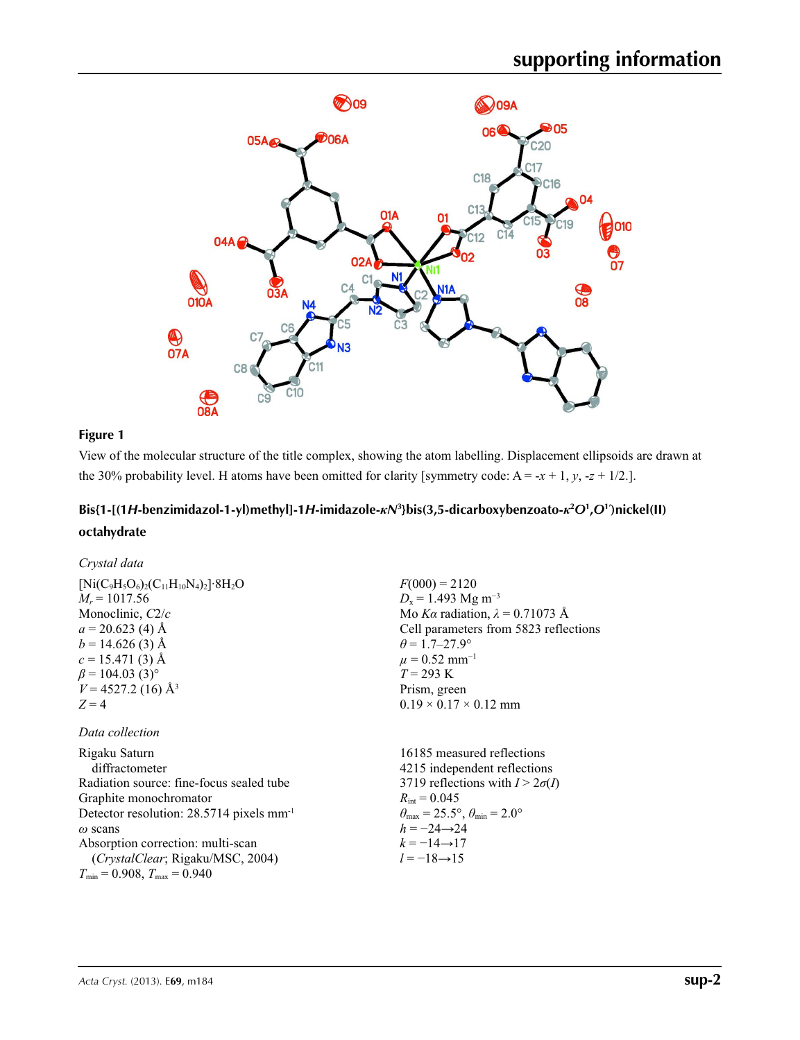

### **Figure 1**

View of the molecular structure of the title complex, showing the atom labelling. Displacement ellipsoids are drawn at the 30% probability level. H atoms have been omitted for clarity [symmetry code:  $A = -x + 1$ ,  $y$ ,  $-z + 1/2$ .].

## Bis{1-[(1H-benzimidazol-1-yl)methyl]-1H-imidazole- $\kappa N^3$ }bis(3,5-dicarboxybenzoato- $\kappa^2O^1,O^1$ )nickel(II) **octahydrate**

*Crystal data*

| $[Ni(C_9H_5O_6)_2(C_{11}H_{10}N_4)_2]\cdot 8H_2O$ |  |
|---------------------------------------------------|--|
| $M_r = 1017.56$                                   |  |
| Monoclinic, $C2/c$                                |  |
| $a = 20.623$ (4) Å                                |  |
| $b = 14.626(3)$ Å                                 |  |
| $c = 15.471(3)$ Å                                 |  |
| $\beta$ = 104.03 (3) <sup>o</sup>                 |  |
| $V = 4527.2$ (16) Å <sup>3</sup>                  |  |
| $Z = 4$                                           |  |
|                                                   |  |
| Data collection                                   |  |

Rigaku Saturn diffractometer Radiation source: fine-focus sealed tube Graphite monochromator Detector resolution: 28.5714 pixels mm-1 *ω* scans Absorption correction: multi-scan (*CrystalClear*; Rigaku/MSC, 2004)  $T_{\text{min}} = 0.908, T_{\text{max}} = 0.940$ 

 $F(000) = 2120$  $D_x = 1.493$  Mg m<sup>-3</sup> Mo *Kα* radiation,  $\lambda = 0.71073$  Å Cell parameters from 5823 reflections  $\theta$  = 1.7–27.9°  $\mu$  = 0.52 mm<sup>-1</sup> *T* = 293 K Prism, green  $0.19 \times 0.17 \times 0.12$  mm

16185 measured reflections 4215 independent reflections 3719 reflections with  $I > 2\sigma(I)$  $R_{\text{int}} = 0.045$  $\theta_{\text{max}} = 25.5^{\circ}, \theta_{\text{min}} = 2.0^{\circ}$  $h = -24 \rightarrow 24$  $k = -14 \rightarrow 17$ *l* = −18→15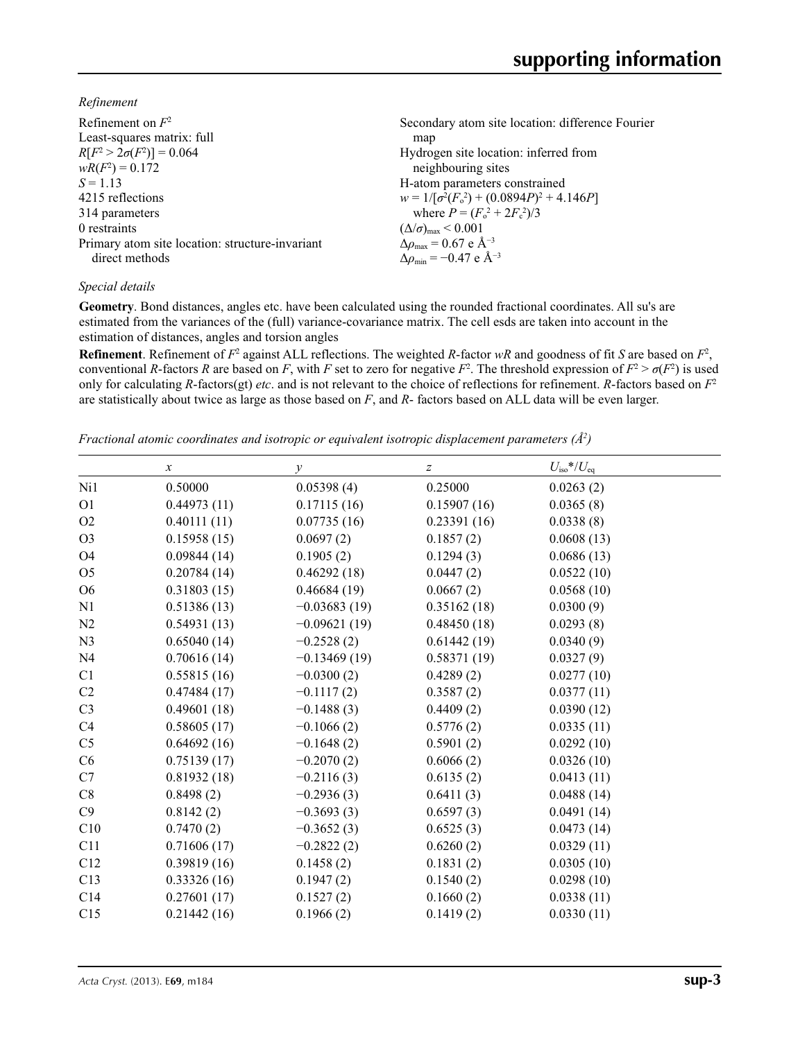*Refinement*

| Refinement on $F^2$                             | Secondary atom site location: difference Fourier  |
|-------------------------------------------------|---------------------------------------------------|
| Least-squares matrix: full                      | map                                               |
| $R[F^2 > 2\sigma(F^2)] = 0.064$                 | Hydrogen site location: inferred from             |
| $wR(F^2) = 0.172$                               | neighbouring sites                                |
| $S = 1.13$                                      | H-atom parameters constrained                     |
| 4215 reflections                                | $w = 1/[\sigma^2(F_0^2) + (0.0894P)^2 + 4.146P]$  |
| 314 parameters                                  | where $P = (F_o^2 + 2F_c^2)/3$                    |
| 0 restraints                                    | $(\Delta/\sigma)_{\text{max}}$ < 0.001            |
| Primary atom site location: structure-invariant | $\Delta \rho_{\rm max} = 0.67$ e Å <sup>-3</sup>  |
| direct methods                                  | $\Delta \rho_{\rm min} = -0.47$ e Å <sup>-3</sup> |

### *Special details*

**Geometry**. Bond distances, angles etc. have been calculated using the rounded fractional coordinates. All su's are estimated from the variances of the (full) variance-covariance matrix. The cell esds are taken into account in the estimation of distances, angles and torsion angles

**Refinement**. Refinement of  $F^2$  against ALL reflections. The weighted *R*-factor  $wR$  and goodness of fit *S* are based on  $F^2$ , conventional *R*-factors *R* are based on *F*, with *F* set to zero for negative  $F^2$ . The threshold expression of  $F^2 > \sigma(F^2)$  is used only for calculating *R*-factors(gt) *etc*. and is not relevant to the choice of reflections for refinement. *R*-factors based on *F*<sup>2</sup> are statistically about twice as large as those based on *F*, and *R*- factors based on ALL data will be even larger.

*Fractional atomic coordinates and isotropic or equivalent isotropic displacement parameters (Å<sup>2</sup>)* 

|                | $\boldsymbol{x}$ | у              | $\boldsymbol{Z}$ | $U_{\rm iso}$ */ $U_{\rm eq}$ |
|----------------|------------------|----------------|------------------|-------------------------------|
| Ni1            | 0.50000          | 0.05398(4)     | 0.25000          | 0.0263(2)                     |
| O <sub>1</sub> | 0.44973(11)      | 0.17115(16)    | 0.15907(16)      | 0.0365(8)                     |
| O2             | 0.40111(11)      | 0.07735(16)    | 0.23391(16)      | 0.0338(8)                     |
| O <sub>3</sub> | 0.15958(15)      | 0.0697(2)      | 0.1857(2)        | 0.0608(13)                    |
| <b>O4</b>      | 0.09844(14)      | 0.1905(2)      | 0.1294(3)        | 0.0686(13)                    |
| O <sub>5</sub> | 0.20784(14)      | 0.46292(18)    | 0.0447(2)        | 0.0522(10)                    |
| O <sub>6</sub> | 0.31803(15)      | 0.46684(19)    | 0.0667(2)        | 0.0568(10)                    |
| N1             | 0.51386(13)      | $-0.03683(19)$ | 0.35162(18)      | 0.0300(9)                     |
| N <sub>2</sub> | 0.54931(13)      | $-0.09621(19)$ | 0.48450(18)      | 0.0293(8)                     |
| N <sub>3</sub> | 0.65040(14)      | $-0.2528(2)$   | 0.61442(19)      | 0.0340(9)                     |
| N <sub>4</sub> | 0.70616(14)      | $-0.13469(19)$ | 0.58371(19)      | 0.0327(9)                     |
| C1             | 0.55815(16)      | $-0.0300(2)$   | 0.4289(2)        | 0.0277(10)                    |
| C <sub>2</sub> | 0.47484(17)      | $-0.1117(2)$   | 0.3587(2)        | 0.0377(11)                    |
| C <sub>3</sub> | 0.49601(18)      | $-0.1488(3)$   | 0.4409(2)        | 0.0390(12)                    |
| C <sub>4</sub> | 0.58605(17)      | $-0.1066(2)$   | 0.5776(2)        | 0.0335(11)                    |
| C <sub>5</sub> | 0.64692(16)      | $-0.1648(2)$   | 0.5901(2)        | 0.0292(10)                    |
| C6             | 0.75139(17)      | $-0.2070(2)$   | 0.6066(2)        | 0.0326(10)                    |
| C7             | 0.81932(18)      | $-0.2116(3)$   | 0.6135(2)        | 0.0413(11)                    |
| C8             | 0.8498(2)        | $-0.2936(3)$   | 0.6411(3)        | 0.0488(14)                    |
| C9             | 0.8142(2)        | $-0.3693(3)$   | 0.6597(3)        | 0.0491(14)                    |
| C10            | 0.7470(2)        | $-0.3652(3)$   | 0.6525(3)        | 0.0473(14)                    |
| C11            | 0.71606(17)      | $-0.2822(2)$   | 0.6260(2)        | 0.0329(11)                    |
| C12            | 0.39819(16)      | 0.1458(2)      | 0.1831(2)        | 0.0305(10)                    |
| C13            | 0.33326(16)      | 0.1947(2)      | 0.1540(2)        | 0.0298(10)                    |
| C14            | 0.27601(17)      | 0.1527(2)      | 0.1660(2)        | 0.0338(11)                    |
| C15            | 0.21442(16)      | 0.1966(2)      | 0.1419(2)        | 0.0330(11)                    |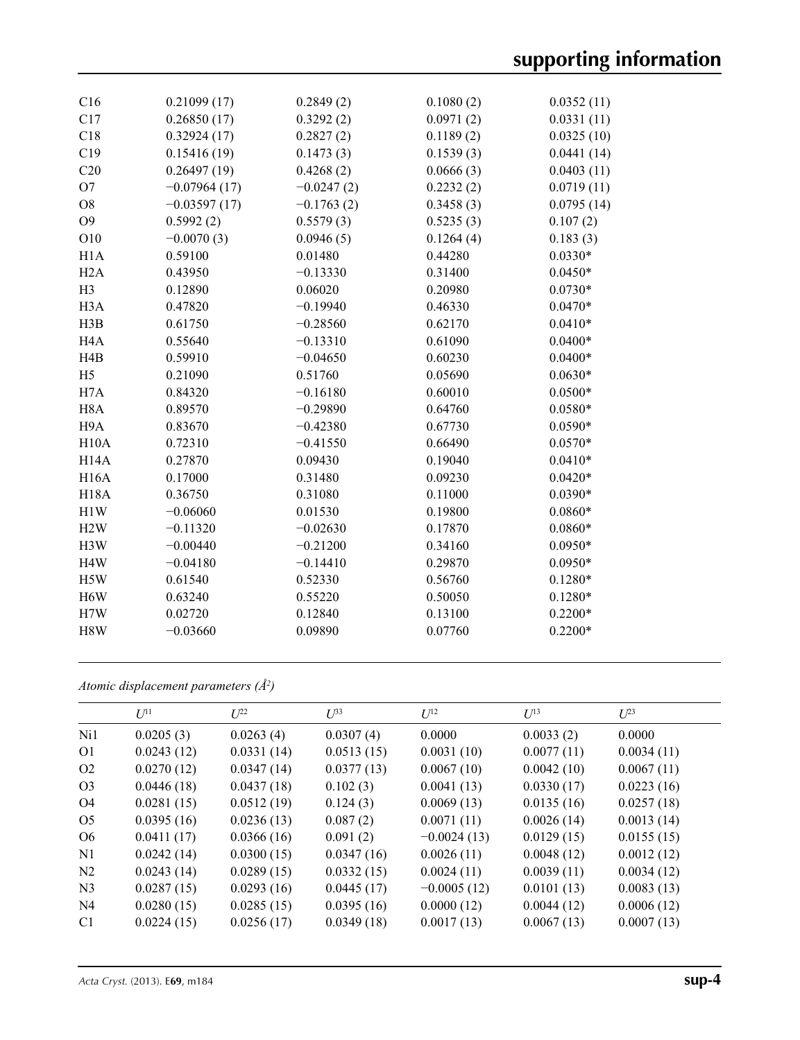| C16               | 0.21099(17)    | 0.2849(2)    | 0.1080(2) | 0.0352(11) |
|-------------------|----------------|--------------|-----------|------------|
| C17               | 0.26850(17)    | 0.3292(2)    | 0.0971(2) | 0.0331(11) |
| C18               | 0.32924(17)    | 0.2827(2)    | 0.1189(2) | 0.0325(10) |
| C19               | 0.15416(19)    | 0.1473(3)    | 0.1539(3) | 0.0441(14) |
| C20               | 0.26497(19)    | 0.4268(2)    | 0.0666(3) | 0.0403(11) |
| O <sub>7</sub>    | $-0.07964(17)$ | $-0.0247(2)$ | 0.2232(2) | 0.0719(11) |
| O <sub>8</sub>    | $-0.03597(17)$ | $-0.1763(2)$ | 0.3458(3) | 0.0795(14) |
| O <sub>9</sub>    | 0.5992(2)      | 0.5579(3)    | 0.5235(3) | 0.107(2)   |
| O10               | $-0.0070(3)$   | 0.0946(5)    | 0.1264(4) | 0.183(3)   |
| H1A               | 0.59100        | 0.01480      | 0.44280   | $0.0330*$  |
| H2A               | 0.43950        | $-0.13330$   | 0.31400   | $0.0450*$  |
| H <sub>3</sub>    | 0.12890        | 0.06020      | 0.20980   | $0.0730*$  |
| H <sub>3</sub> A  | 0.47820        | $-0.19940$   | 0.46330   | $0.0470*$  |
| H3B               | 0.61750        | $-0.28560$   | 0.62170   | $0.0410*$  |
| H <sub>4</sub> A  | 0.55640        | $-0.13310$   | 0.61090   | $0.0400*$  |
| H <sub>4</sub> B  | 0.59910        | $-0.04650$   | 0.60230   | $0.0400*$  |
| H <sub>5</sub>    | 0.21090        | 0.51760      | 0.05690   | $0.0630*$  |
| H7A               | 0.84320        | $-0.16180$   | 0.60010   | $0.0500*$  |
| H <sub>8</sub> A  | 0.89570        | $-0.29890$   | 0.64760   | $0.0580*$  |
| H <sub>9</sub> A  | 0.83670        | $-0.42380$   | 0.67730   | $0.0590*$  |
| H10A              | 0.72310        | $-0.41550$   | 0.66490   | $0.0570*$  |
| H <sub>14</sub> A | 0.27870        | 0.09430      | 0.19040   | $0.0410*$  |
| <b>H16A</b>       | 0.17000        | 0.31480      | 0.09230   | $0.0420*$  |
| <b>H18A</b>       | 0.36750        | 0.31080      | 0.11000   | $0.0390*$  |
| H1W               | $-0.06060$     | 0.01530      | 0.19800   | $0.0860*$  |
| H2W               | $-0.11320$     | $-0.02630$   | 0.17870   | $0.0860*$  |
| H3W               | $-0.00440$     | $-0.21200$   | 0.34160   | $0.0950*$  |
| H <sub>4</sub> W  | $-0.04180$     | $-0.14410$   | 0.29870   | $0.0950*$  |
| H5W               | 0.61540        | 0.52330      | 0.56760   | $0.1280*$  |
| H <sub>6</sub> W  | 0.63240        | 0.55220      | 0.50050   | $0.1280*$  |
| H7W               | 0.02720        | 0.12840      | 0.13100   | $0.2200*$  |
| H8W               | $-0.03660$     | 0.09890      | 0.07760   | $0.2200*$  |
|                   |                |              |           |            |

*Atomic displacement parameters (Å2 )*

|                | $U^{11}$   | $U^{22}$   | $U^{33}$   | $U^{12}$      | $U^{13}$   | $L^{23}$   |
|----------------|------------|------------|------------|---------------|------------|------------|
| Ni1            | 0.0205(3)  | 0.0263(4)  | 0.0307(4)  | 0.0000        | 0.0033(2)  | 0.0000     |
| O <sub>1</sub> | 0.0243(12) | 0.0331(14) | 0.0513(15) | 0.0031(10)    | 0.0077(11) | 0.0034(11) |
| O <sub>2</sub> | 0.0270(12) | 0.0347(14) | 0.0377(13) | 0.0067(10)    | 0.0042(10) | 0.0067(11) |
| O <sub>3</sub> | 0.0446(18) | 0.0437(18) | 0.102(3)   | 0.0041(13)    | 0.0330(17) | 0.0223(16) |
| O4             | 0.0281(15) | 0.0512(19) | 0.124(3)   | 0.0069(13)    | 0.0135(16) | 0.0257(18) |
| O <sub>5</sub> | 0.0395(16) | 0.0236(13) | 0.087(2)   | 0.0071(11)    | 0.0026(14) | 0.0013(14) |
| O <sub>6</sub> | 0.0411(17) | 0.0366(16) | 0.091(2)   | $-0.0024(13)$ | 0.0129(15) | 0.0155(15) |
| N1             | 0.0242(14) | 0.0300(15) | 0.0347(16) | 0.0026(11)    | 0.0048(12) | 0.0012(12) |
| N <sub>2</sub> | 0.0243(14) | 0.0289(15) | 0.0332(15) | 0.0024(11)    | 0.0039(11) | 0.0034(12) |
| N <sub>3</sub> | 0.0287(15) | 0.0293(16) | 0.0445(17) | $-0.0005(12)$ | 0.0101(13) | 0.0083(13) |
| N <sub>4</sub> | 0.0280(15) | 0.0285(15) | 0.0395(16) | 0.0000(12)    | 0.0044(12) | 0.0006(12) |
| C <sub>1</sub> | 0.0224(15) | 0.0256(17) | 0.0349(18) | 0.0017(13)    | 0.0067(13) | 0.0007(13) |
|                |            |            |            |               |            |            |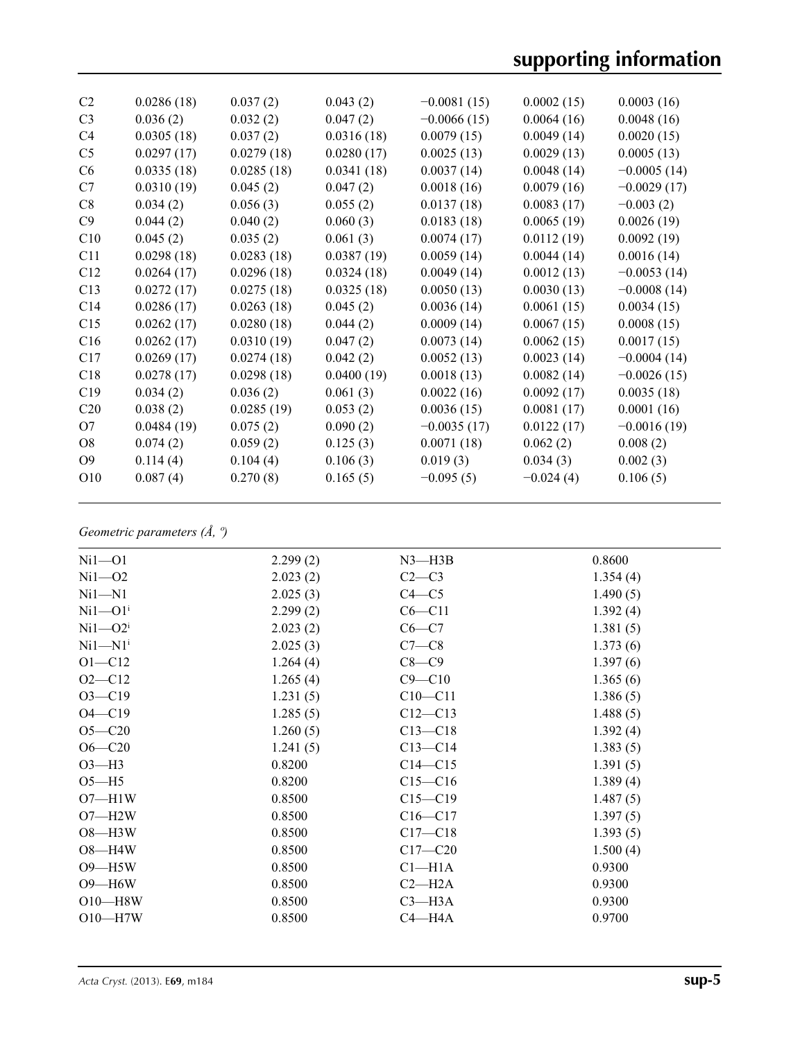| C <sub>2</sub>  | 0.0286(18) | 0.037(2)   | 0.043(2)   | $-0.0081(15)$ | 0.0002(15)  | 0.0003(16)    |
|-----------------|------------|------------|------------|---------------|-------------|---------------|
| C <sub>3</sub>  | 0.036(2)   | 0.032(2)   | 0.047(2)   | $-0.0066(15)$ | 0.0064(16)  | 0.0048(16)    |
| C4              | 0.0305(18) | 0.037(2)   | 0.0316(18) | 0.0079(15)    | 0.0049(14)  | 0.0020(15)    |
| C <sub>5</sub>  | 0.0297(17) | 0.0279(18) | 0.0280(17) | 0.0025(13)    | 0.0029(13)  | 0.0005(13)    |
| C <sub>6</sub>  | 0.0335(18) | 0.0285(18) | 0.0341(18) | 0.0037(14)    | 0.0048(14)  | $-0.0005(14)$ |
| C7              | 0.0310(19) | 0.045(2)   | 0.047(2)   | 0.0018(16)    | 0.0079(16)  | $-0.0029(17)$ |
| C8              | 0.034(2)   | 0.056(3)   | 0.055(2)   | 0.0137(18)    | 0.0083(17)  | $-0.003(2)$   |
| C9              | 0.044(2)   | 0.040(2)   | 0.060(3)   | 0.0183(18)    | 0.0065(19)  | 0.0026(19)    |
| C10             | 0.045(2)   | 0.035(2)   | 0.061(3)   | 0.0074(17)    | 0.0112(19)  | 0.0092(19)    |
| C11             | 0.0298(18) | 0.0283(18) | 0.0387(19) | 0.0059(14)    | 0.0044(14)  | 0.0016(14)    |
| C12             | 0.0264(17) | 0.0296(18) | 0.0324(18) | 0.0049(14)    | 0.0012(13)  | $-0.0053(14)$ |
| C13             | 0.0272(17) | 0.0275(18) | 0.0325(18) | 0.0050(13)    | 0.0030(13)  | $-0.0008(14)$ |
| C14             | 0.0286(17) | 0.0263(18) | 0.045(2)   | 0.0036(14)    | 0.0061(15)  | 0.0034(15)    |
| C15             | 0.0262(17) | 0.0280(18) | 0.044(2)   | 0.0009(14)    | 0.0067(15)  | 0.0008(15)    |
| C16             | 0.0262(17) | 0.0310(19) | 0.047(2)   | 0.0073(14)    | 0.0062(15)  | 0.0017(15)    |
| C17             | 0.0269(17) | 0.0274(18) | 0.042(2)   | 0.0052(13)    | 0.0023(14)  | $-0.0004(14)$ |
| C18             | 0.0278(17) | 0.0298(18) | 0.0400(19) | 0.0018(13)    | 0.0082(14)  | $-0.0026(15)$ |
| C19             | 0.034(2)   | 0.036(2)   | 0.061(3)   | 0.0022(16)    | 0.0092(17)  | 0.0035(18)    |
| C20             | 0.038(2)   | 0.0285(19) | 0.053(2)   | 0.0036(15)    | 0.0081(17)  | 0.0001(16)    |
| O7              | 0.0484(19) | 0.075(2)   | 0.090(2)   | $-0.0035(17)$ | 0.0122(17)  | $-0.0016(19)$ |
| O <sub>8</sub>  | 0.074(2)   | 0.059(2)   | 0.125(3)   | 0.0071(18)    | 0.062(2)    | 0.008(2)      |
| O <sub>9</sub>  | 0.114(4)   | 0.104(4)   | 0.106(3)   | 0.019(3)      | 0.034(3)    | 0.002(3)      |
| O <sub>10</sub> | 0.087(4)   | 0.270(8)   | 0.165(5)   | $-0.095(5)$   | $-0.024(4)$ | 0.106(5)      |
|                 |            |            |            |               |             |               |

### *Geometric parameters (Å, º)*

| $Ni1-O1$    | 2.299(2) | $N3$ —H3B   | 0.8600   |
|-------------|----------|-------------|----------|
| $Ni1 - O2$  | 2.023(2) | $C2-C3$     | 1.354(4) |
| $Ni1 - N1$  | 2.025(3) | $C4 - C5$   | 1.490(5) |
| $Ni1 - O1i$ | 2.299(2) | $C6 - C11$  | 1.392(4) |
| $Ni1 - O2i$ | 2.023(2) | $C6 - C7$   | 1.381(5) |
| $Ni1 - N1i$ | 2.025(3) | $C7-C8$     | 1.373(6) |
| $O1 - C12$  | 1.264(4) | $C8-C9$     | 1.397(6) |
| $O2 - C12$  | 1.265(4) | $C9 - C10$  | 1.365(6) |
| $O3 - C19$  | 1.231(5) | $C10 - C11$ | 1.386(5) |
| $O4 - C19$  | 1.285(5) | $C12 - C13$ | 1.488(5) |
| $O5 - C20$  | 1.260(5) | $C13 - C18$ | 1.392(4) |
| $O6 - C20$  | 1.241(5) | $C13 - C14$ | 1.383(5) |
| $O3-H3$     | 0.8200   | $C14 - C15$ | 1.391(5) |
| $O5 - H5$   | 0.8200   | $C15 - C16$ | 1.389(4) |
| $O7 - H1W$  | 0.8500   | $C15 - C19$ | 1.487(5) |
| $O7 - H2W$  | 0.8500   | $C16 - C17$ | 1.397(5) |
| $O8 - H3W$  | 0.8500   | $C17 - C18$ | 1.393(5) |
| $O8 - H4W$  | 0.8500   | $C17 - C20$ | 1.500(4) |
| $O9 - H5W$  | 0.8500   | $Cl-H1A$    | 0.9300   |
| $O9 - H6W$  | 0.8500   | $C2 - H2A$  | 0.9300   |
| $O10$ —H8W  | 0.8500   | $C3 - H3A$  | 0.9300   |
| $O10-H7W$   | 0.8500   | $C4 - H4A$  | 0.9700   |
|             |          |             |          |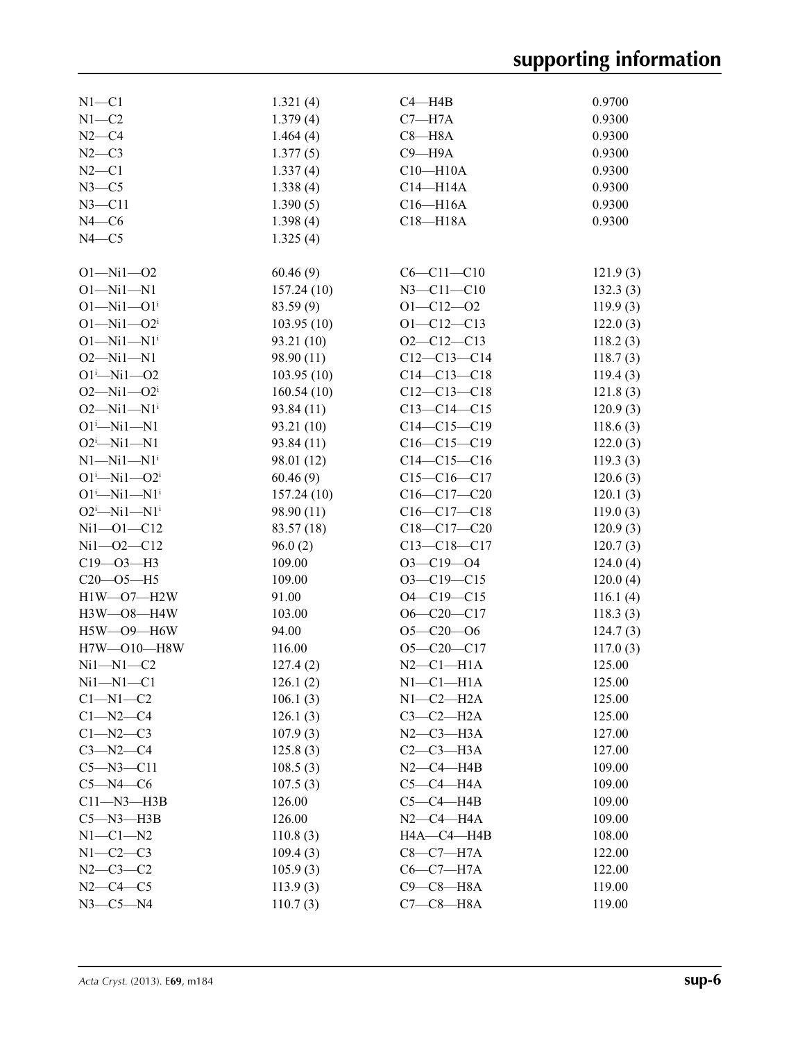| $N1 - C1$                    | 1.321(4)   | $C4 - H4B$        | 0.9700   |
|------------------------------|------------|-------------------|----------|
| $N1 - C2$                    | 1.379(4)   | $C7 - H7A$        | 0.9300   |
| $N2-C4$                      | 1.464(4)   | $C8 - H8A$        | 0.9300   |
| $N2-C3$                      | 1.377(5)   | $C9 - H9A$        | 0.9300   |
| $N2 - C1$                    | 1.337(4)   | $C10 - H10A$      | 0.9300   |
| $N3-C5$                      | 1.338(4)   | $C14 - H14A$      | 0.9300   |
| $N3 - C11$                   | 1.390(5)   | $C16 - H16A$      | 0.9300   |
| $N4 - C6$                    | 1.398(4)   | C18-H18A          | 0.9300   |
| $N4 - C5$                    | 1.325(4)   |                   |          |
|                              |            |                   |          |
| $O1 - Ni1 - O2$              | 60.46(9)   | $C6 - C11 - C10$  | 121.9(3) |
| $O1 - Ni1 - N1$              | 157.24(10) | $N3 - C11 - C10$  | 132.3(3) |
| $O1 - Ni1 - O1$ <sup>i</sup> | 83.59 (9)  | $O1 - C12 - O2$   | 119.9(3) |
| $O1 - Ni1 - O2^i$            | 103.95(10) | $O1 - C12 - C13$  | 122.0(3) |
| $O1 - Ni1 - N1$ <sup>i</sup> | 93.21 (10) | $O2-C12-C13$      |          |
| $O2 - Ni1 - N1$              |            | $C12-C13-C14$     | 118.2(3) |
|                              | 98.90 (11) |                   | 118.7(3) |
| $O1^i$ -Ni $1$ -O2           | 103.95(10) | $C14 - C13 - C18$ | 119.4(3) |
| $O2 - Ni1 - O2i$             | 160.54(10) | $C12-C13-C18$     | 121.8(3) |
| $O2 - Ni1 - N1$ <sup>i</sup> | 93.84 (11) | $C13-C14-C15$     | 120.9(3) |
| $O1^i$ -Ni $1$ -N1           | 93.21 (10) | $C14-C15-C19$     | 118.6(3) |
| $O2^i$ -Ni1-N1               | 93.84 (11) | $C16-C15-C19$     | 122.0(3) |
| $N1 - N11 - N1$ <sup>i</sup> | 98.01 (12) | $C14-C15-C16$     | 119.3(3) |
| $O1^{i}$ -Ni $1$ - $O2^{i}$  | 60.46(9)   | $C15-C16-C17$     | 120.6(3) |
| $O1^i$ -Ni $1$ -N $1^i$      | 157.24(10) | $C16 - C17 - C20$ | 120.1(3) |
| $O2^i$ -Ni1-N1 <sup>i</sup>  | 98.90 (11) | $C16-C17-C18$     | 119.0(3) |
| $Ni1 - O1 - C12$             | 83.57 (18) | $C18-C17-C20$     | 120.9(3) |
| $Ni1 - O2 - C12$             | 96.0(2)    | $C13 - C18 - C17$ | 120.7(3) |
| $C19 - O3 - H3$              | 109.00     | $O3 - C19 - O4$   | 124.0(4) |
| $C20 - 05 - H5$              | 109.00     | $O3 - C19 - C15$  | 120.0(4) |
| $H1W-O7-H2W$                 | 91.00      | $O4 - C19 - C15$  | 116.1(4) |
| H3W-08-H4W                   | 103.00     | $O6 - C20 - C17$  | 118.3(3) |
| $H5W$ — $O9$ — $H6W$         | 94.00      | $O5 - C20 - O6$   | 124.7(3) |
| H7W-O10-H8W                  | 116.00     | $O5 - C20 - C17$  | 117.0(3) |
| $Ni1 - N1 - C2$              | 127.4(2)   | $N2-C1-H1A$       | 125.00   |
| $Ni1 - N1 - C1$              | 126.1(2)   | $N1-C1-H1A$       | 125.00   |
| $C1 - N1 - C2$               | 106.1(3)   | $N1-C2-H2A$       | 125.00   |
| $C1 - N2 - C4$               | 126.1(3)   | $C3-C2-H2A$       | 125.00   |
| $C1 - N2 - C3$               | 107.9(3)   | $N2-C3-H3A$       | 127.00   |
| $C3 - N2 - C4$               | 125.8(3)   | $C2-C3-H3A$       | 127.00   |
| $C5 - N3 - C11$              | 108.5(3)   | $N2-C4-H4B$       | 109.00   |
| $C5 - N4 - C6$               | 107.5(3)   | $C5-C4-H4A$       | 109.00   |
| $C11 - N3 - H3B$             | 126.00     | $C5-C4-HAB$       | 109.00   |
| $C5 - N3 - H3B$              | 126.00     | $N2-C4-H4A$       | 109.00   |
| $N1-C1-N2$                   | 110.8(3)   | HA—C4—H4B         | 108.00   |
| $N1-C2-C3$                   | 109.4(3)   | $C8-C7-H7A$       | 122.00   |
| $N2 - C3 - C2$               | 105.9(3)   | $C6-C7-H7A$       | 122.00   |
| $N2 - C4 - C5$               | 113.9(3)   | $C9 - C8 - H8A$   | 119.00   |
| $N3 - C5 - N4$               |            | $C7-C8-H8A$       | 119.00   |
|                              | 110.7(3)   |                   |          |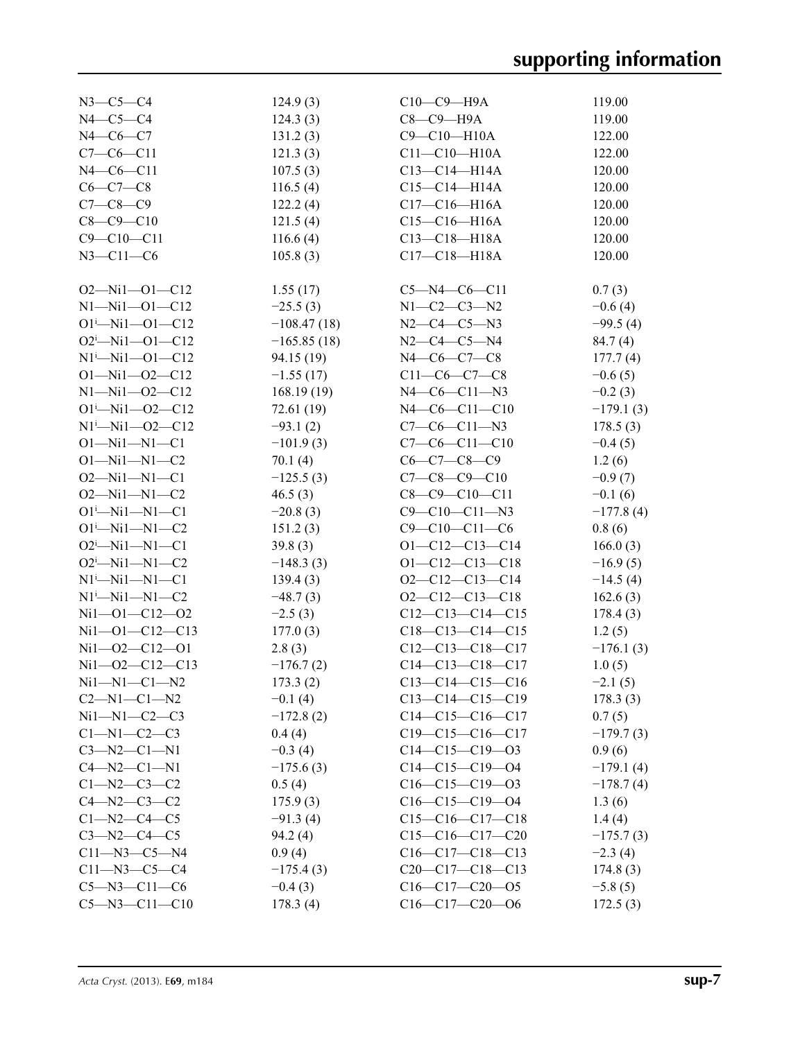| $N3-C5-C4$                            | 124.9(3)      | $C10-C9-$ H9A          | 119.00      |
|---------------------------------------|---------------|------------------------|-------------|
| $N4-C5-C4$                            | 124.3(3)      | $C8-C9-H9A$            | 119.00      |
| $N4 - C6 - C7$                        | 131.2(3)      | $C9 - C10 - H10A$      | 122.00      |
| $C7-C6-C11$                           | 121.3(3)      | $C11 - C10 - H10A$     | 122.00      |
|                                       |               | $C13-C14-H14A$         |             |
| $N4 - C6 - C11$                       | 107.5(3)      |                        | 120.00      |
| $C6 - C7 - C8$                        | 116.5(4)      | $C15-C14-H14A$         | 120.00      |
| $C7 - C8 - C9$                        | 122.2(4)      | $C17 - C16 - H16A$     | 120.00      |
| $C8 - C9 - C10$                       | 121.5(4)      | $C15-C16-H16A$         | 120.00      |
| $C9 - C10 - C11$                      | 116.6(4)      | $C13 - C18 - H18A$     | 120.00      |
| $N3 - C11 - C6$                       | 105.8(3)      | $C17 - C18 - H18A$     | 120.00      |
|                                       |               |                        |             |
| $O2 - Ni1 - O1 - C12$                 | 1.55(17)      | $C5 - N4 - C6 - C11$   | 0.7(3)      |
| $N1 - N11 - O1 - C12$                 | $-25.5(3)$    | $N1 - C2 - C3 - N2$    | $-0.6(4)$   |
| $O1^{i}$ -Ni1- $O1$ -C12              | $-108.47(18)$ | $N2-C4-C5-N3$          | $-99.5(4)$  |
| $O2^i$ -Ni1- $O1$ -C12                | $-165.85(18)$ | $N2-C4-C5-N4$          | 84.7(4)     |
| $N1^i$ -Ni1--O1--C12                  | 94.15 (19)    | N4-C6-C7-C8            | 177.7(4)    |
| $O1 - Nil - O2 - C12$                 | $-1.55(17)$   | $C11-C6-C7-C8$         | $-0.6(5)$   |
| $N1 - N11 - 02 - C12$                 |               |                        |             |
|                                       | 168.19(19)    | $N4-C6-C11-N3$         | $-0.2(3)$   |
| $O1^{i}$ -Ni1- $O2$ -C12              | 72.61(19)     | N4-C6-C11-C10          | $-179.1(3)$ |
| $Ni^{\text{i}}$ -Ni1--02--C12         | $-93.1(2)$    | $C7-C6-C11-N3$         | 178.5(3)    |
| $O1 - Ni1 - N1 - C1$                  | $-101.9(3)$   | $C7-C6-C11-C10$        | $-0.4(5)$   |
| $O1 - Ni1 - N1 - C2$                  | 70.1(4)       | $C6-C7-C8-C9$          | 1.2(6)      |
| $O2 - Ni1 - Ni - C1$                  | $-125.5(3)$   | $C7-C8-C9-C10$         | $-0.9(7)$   |
| $O2 - Ni1 - Ni - C2$                  | 46.5(3)       | $C8-C9-C10-C11$        | $-0.1(6)$   |
| $O1^i$ —Ni $1$ —N $1$ —C $1$          | $-20.8(3)$    | $C9 - C10 - C11 - N3$  | $-177.8(4)$ |
| $O1 - Ni1 - N1 - C2$                  | 151.2(3)      | $C9 - C10 - C11 - C6$  | 0.8(6)      |
| $O2^i$ -Ni1-N1-C1                     | 39.8(3)       | $O1 - C12 - C13 - C14$ | 166.0(3)    |
| $O2^i$ -Ni1-N1-C2                     | $-148.3(3)$   | $O1 - C12 - C13 - C18$ | $-16.9(5)$  |
| $N1^{\text{i}}$ —Ni $1$ —N $1$ —C $1$ | 139.4(3)      | $O2-C12-C13-C14$       | $-14.5(4)$  |
|                                       |               |                        |             |
| $N1^{i}$ — $Ni1$ — $N1$ — $C2$        | $-48.7(3)$    | $O2-C12-C13-C18$       | 162.6(3)    |
| $Ni1 - O1 - C12 - O2$                 | $-2.5(3)$     | $C12-C13-C14-C15$      | 178.4(3)    |
| $Ni1 - O1 - C12 - C13$                | 177.0(3)      | $C18-C13-C14-C15$      | 1.2(5)      |
| $Ni1 - O2 - C12 - O1$                 | 2.8(3)        | $C12-C13-C18-C17$      | $-176.1(3)$ |
| Ni1-02-C12-C13                        | $-176.7(2)$   | $C14-C13-C18-C17$      | 1.0(5)      |
| $Ni1 - N1 - C1 - N2$                  | 173.3(2)      | $C13-C14-C15-C16$      | $-2.1(5)$   |
| $C2 - N1 - C1 - N2$                   | $-0.1(4)$     | $C13-C14-C15-C19$      | 178.3(3)    |
| $Ni1 - N1 - C2 - C3$                  | $-172.8(2)$   | $C14-C15-C16-C17$      | 0.7(5)      |
| $C1-M1-C2-C3$                         | 0.4(4)        | $C19-C15-C16-C17$      | $-179.7(3)$ |
| $C3 - N2 - C1 - N1$                   | $-0.3(4)$     | $C14-C15-C19-03$       | 0.9(6)      |
| $C4 - N2 - C1 - N1$                   | $-175.6(3)$   | $C14-C15-C19-04$       | $-179.1(4)$ |
| $C1 - N2 - C3 - C2$                   | 0.5(4)        | $C16-C15-C19-03$       | $-178.7(4)$ |
| $C4 - N2 - C3 - C2$                   | 175.9(3)      | $C16-C15-C19-04$       | 1.3(6)      |
| $C1 - N2 - C4 - C5$                   | $-91.3(4)$    | $C15-C16-C17-C18$      | 1.4(4)      |
| $C3 - N2 - C4 - C5$                   | 94.2(4)       | $C15-C16-C17-C20$      | $-175.7(3)$ |
|                                       |               |                        |             |
| $C11 - N3 - C5 - N4$                  | 0.9(4)        | $C16-C17-C18-C13$      | $-2.3(4)$   |
| $C11 - N3 - C5 - C4$                  | $-175.4(3)$   | $C20-C17-C18-C13$      | 174.8(3)    |
| $C5 - N3 - C11 - C6$                  | $-0.4(3)$     | $C16-C17-C20-05$       | $-5.8(5)$   |
| $C5 - N3 - C11 - C10$                 | 178.3(4)      | $C16-C17-C20-06$       | 172.5(3)    |